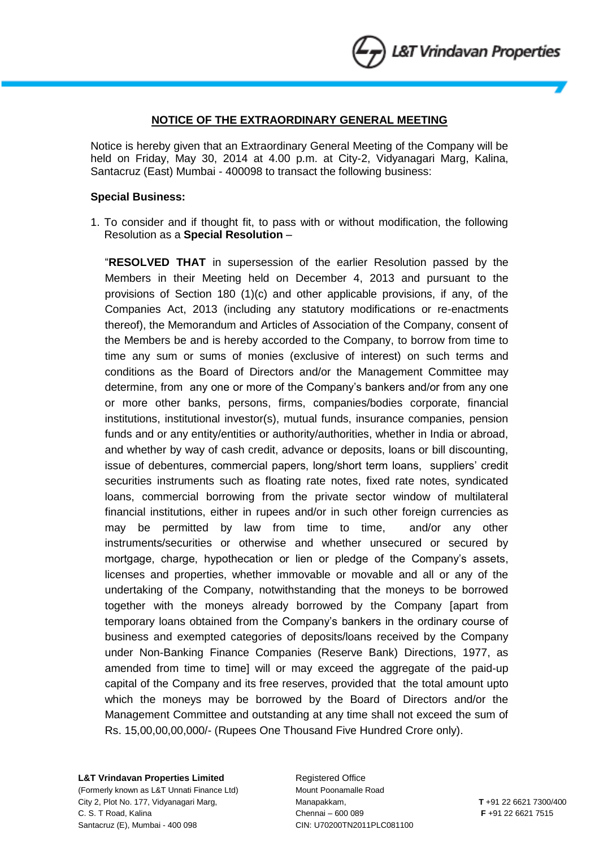## **NOTICE OF THE EXTRAORDINARY GENERAL MEETING**

Notice is hereby given that an Extraordinary General Meeting of the Company will be held on Friday, May 30, 2014 at 4.00 p.m. at City-2, Vidyanagari Marg, Kalina, Santacruz (East) Mumbai - 400098 to transact the following business:

### **Special Business:**

1. To consider and if thought fit, to pass with or without modification, the following Resolution as a **Special Resolution** –

"**RESOLVED THAT** in supersession of the earlier Resolution passed by the Members in their Meeting held on December 4, 2013 and pursuant to the provisions of Section 180 (1)(c) and other applicable provisions, if any, of the Companies Act, 2013 (including any statutory modifications or re-enactments thereof), the Memorandum and Articles of Association of the Company, consent of the Members be and is hereby accorded to the Company, to borrow from time to time any sum or sums of monies (exclusive of interest) on such terms and conditions as the Board of Directors and/or the Management Committee may determine, from any one or more of the Company's bankers and/or from any one or more other banks, persons, firms, companies/bodies corporate, financial institutions, institutional investor(s), mutual funds, insurance companies, pension funds and or any entity/entities or authority/authorities, whether in India or abroad, and whether by way of cash credit, advance or deposits, loans or bill discounting, issue of debentures, commercial papers, long/short term loans, suppliers' credit securities instruments such as floating rate notes, fixed rate notes, syndicated loans, commercial borrowing from the private sector window of multilateral financial institutions, either in rupees and/or in such other foreign currencies as may be permitted by law from time to time, and/or any other instruments/securities or otherwise and whether unsecured or secured by mortgage, charge, hypothecation or lien or pledge of the Company's assets, licenses and properties, whether immovable or movable and all or any of the undertaking of the Company, notwithstanding that the moneys to be borrowed together with the moneys already borrowed by the Company [apart from temporary loans obtained from the Company's bankers in the ordinary course of business and exempted categories of deposits/loans received by the Company under Non-Banking Finance Companies (Reserve Bank) Directions, 1977, as amended from time to time] will or may exceed the aggregate of the paid-up capital of the Company and its free reserves, provided that the total amount upto which the moneys may be borrowed by the Board of Directors and/or the Management Committee and outstanding at any time shall not exceed the sum of Rs. 15,00,00,00,000/- (Rupees One Thousand Five Hundred Crore only).

### **L&T Vrindavan Properties Limited Figure 2018** Registered Office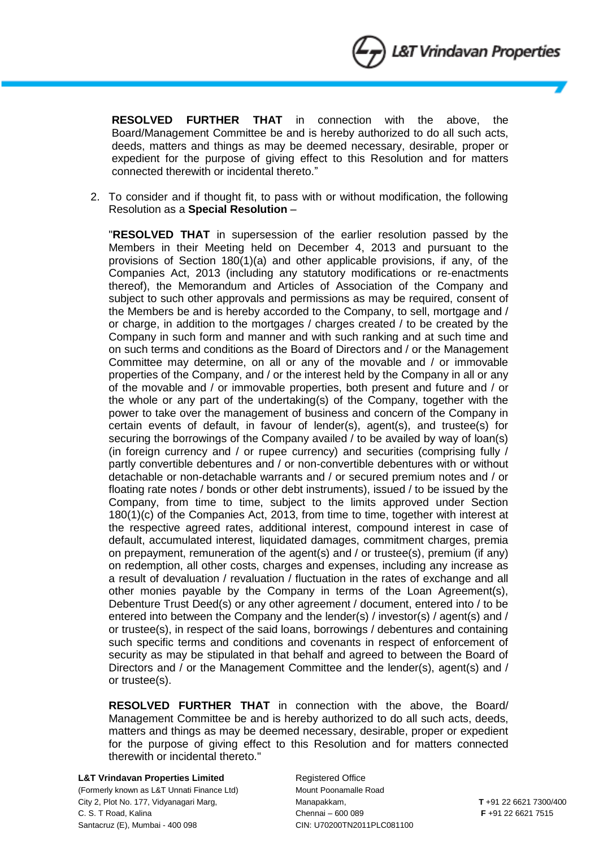**RESOLVED FURTHER THAT** in connection with the above, the Board/Management Committee be and is hereby authorized to do all such acts, deeds, matters and things as may be deemed necessary, desirable, proper or expedient for the purpose of giving effect to this Resolution and for matters connected therewith or incidental thereto."

2. To consider and if thought fit, to pass with or without modification, the following Resolution as a **Special Resolution** –

"**RESOLVED THAT** in supersession of the earlier resolution passed by the Members in their Meeting held on December 4, 2013 and pursuant to the provisions of Section 180(1)(a) and other applicable provisions, if any, of the Companies Act, 2013 (including any statutory modifications or re-enactments thereof), the Memorandum and Articles of Association of the Company and subject to such other approvals and permissions as may be required, consent of the Members be and is hereby accorded to the Company, to sell, mortgage and / or charge, in addition to the mortgages / charges created / to be created by the Company in such form and manner and with such ranking and at such time and on such terms and conditions as the Board of Directors and / or the Management Committee may determine, on all or any of the movable and / or immovable properties of the Company, and / or the interest held by the Company in all or any of the movable and / or immovable properties, both present and future and / or the whole or any part of the undertaking(s) of the Company, together with the power to take over the management of business and concern of the Company in certain events of default, in favour of lender(s), agent(s), and trustee(s) for securing the borrowings of the Company availed / to be availed by way of loan(s) (in foreign currency and / or rupee currency) and securities (comprising fully / partly convertible debentures and / or non-convertible debentures with or without detachable or non-detachable warrants and / or secured premium notes and / or floating rate notes / bonds or other debt instruments), issued / to be issued by the Company, from time to time, subject to the limits approved under Section 180(1)(c) of the Companies Act, 2013, from time to time, together with interest at the respective agreed rates, additional interest, compound interest in case of default, accumulated interest, liquidated damages, commitment charges, premia on prepayment, remuneration of the agent(s) and / or trustee(s), premium (if any) on redemption, all other costs, charges and expenses, including any increase as a result of devaluation / revaluation / fluctuation in the rates of exchange and all other monies payable by the Company in terms of the Loan Agreement(s), Debenture Trust Deed(s) or any other agreement / document, entered into / to be entered into between the Company and the lender(s) / investor(s) / agent(s) and / or trustee(s), in respect of the said loans, borrowings / debentures and containing such specific terms and conditions and covenants in respect of enforcement of security as may be stipulated in that behalf and agreed to between the Board of Directors and / or the Management Committee and the lender(s), agent(s) and / or trustee(s).

**RESOLVED FURTHER THAT** in connection with the above, the Board/ Management Committee be and is hereby authorized to do all such acts, deeds, matters and things as may be deemed necessary, desirable, proper or expedient for the purpose of giving effect to this Resolution and for matters connected therewith or incidental thereto."

### **L&T Vrindavan Properties Limited Figure 2018** Registered Office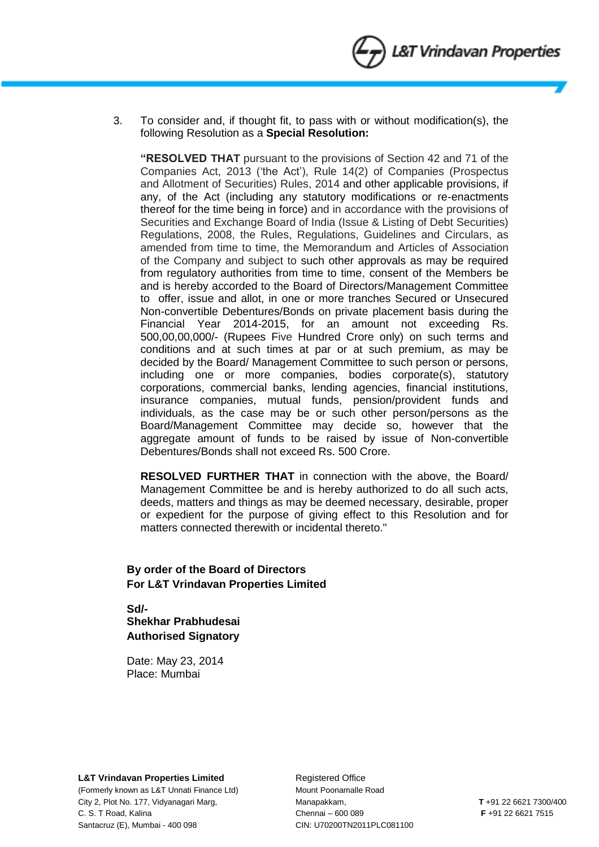3. To consider and, if thought fit, to pass with or without modification(s), the following Resolution as a **Special Resolution:**

**"RESOLVED THAT** pursuant to the provisions of Section 42 and 71 of the Companies Act, 2013 ('the Act'), Rule 14(2) of Companies (Prospectus and Allotment of Securities) Rules, 2014 and other applicable provisions, if any, of the Act (including any statutory modifications or re-enactments thereof for the time being in force) and in accordance with the provisions of Securities and Exchange Board of India (Issue & Listing of Debt Securities) Regulations, 2008, the Rules, Regulations, Guidelines and Circulars, as amended from time to time, the Memorandum and Articles of Association of the Company and subject to such other approvals as may be required from regulatory authorities from time to time, consent of the Members be and is hereby accorded to the Board of Directors/Management Committee to offer, issue and allot, in one or more tranches Secured or Unsecured Non-convertible Debentures/Bonds on private placement basis during the Financial Year 2014-2015, for an amount not exceeding Rs. 500,00,00,000/- (Rupees Five Hundred Crore only) on such terms and conditions and at such times at par or at such premium, as may be decided by the Board/ Management Committee to such person or persons, including one or more companies, bodies corporate(s), statutory corporations, commercial banks, lending agencies, financial institutions, insurance companies, mutual funds, pension/provident funds and individuals, as the case may be or such other person/persons as the Board/Management Committee may decide so, however that the aggregate amount of funds to be raised by issue of Non-convertible Debentures/Bonds shall not exceed Rs. 500 Crore.

**RESOLVED FURTHER THAT** in connection with the above, the Board/ Management Committee be and is hereby authorized to do all such acts, deeds, matters and things as may be deemed necessary, desirable, proper or expedient for the purpose of giving effect to this Resolution and for matters connected therewith or incidental thereto."

# **By order of the Board of Directors For L&T Vrindavan Properties Limited**

**Sd/- Shekhar Prabhudesai Authorised Signatory**

Date: May 23, 2014 Place: Mumbai

### **L&T Vrindavan Properties Limited Figure 2018** Registered Office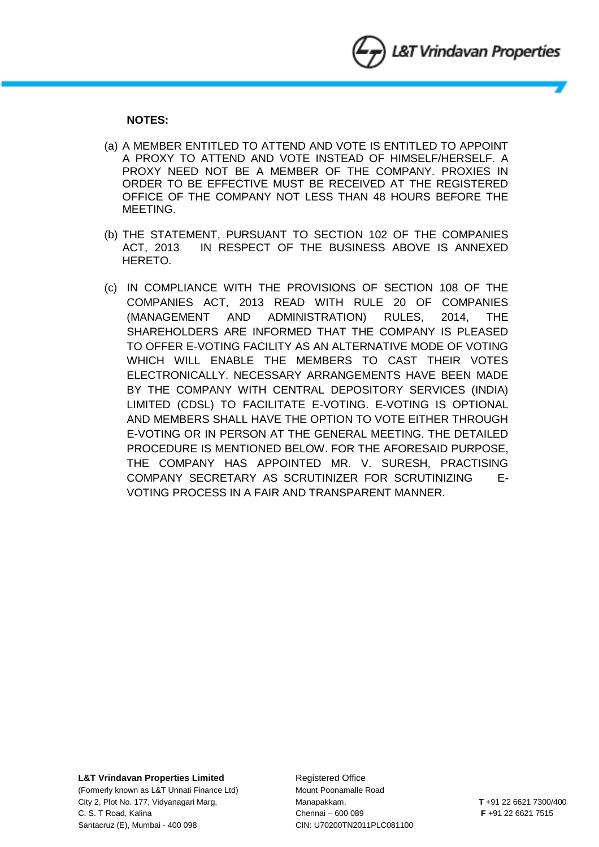## **NOTES:**

- (a) A MEMBER ENTITLED TO ATTEND AND VOTE IS ENTITLED TO APPOINT A PROXY TO ATTEND AND VOTE INSTEAD OF HIMSELF/HERSELF. A PROXY NEED NOT BE A MEMBER OF THE COMPANY. PROXIES IN ORDER TO BE EFFECTIVE MUST BE RECEIVED AT THE REGISTERED OFFICE OF THE COMPANY NOT LESS THAN 48 HOURS BEFORE THE MEETING.
- (b) THE STATEMENT, PURSUANT TO SECTION 102 OF THE COMPANIES ACT, 2013 IN RESPECT OF THE BUSINESS ABOVE IS ANNEXED HERETO.
- (c) IN COMPLIANCE WITH THE PROVISIONS OF SECTION 108 OF THE COMPANIES ACT, 2013 READ WITH RULE 20 OF COMPANIES (MANAGEMENT AND ADMINISTRATION) RULES, 2014, THE SHAREHOLDERS ARE INFORMED THAT THE COMPANY IS PLEASED TO OFFER E-VOTING FACILITY AS AN ALTERNATIVE MODE OF VOTING WHICH WILL ENABLE THE MEMBERS TO CAST THEIR VOTES ELECTRONICALLY. NECESSARY ARRANGEMENTS HAVE BEEN MADE BY THE COMPANY WITH CENTRAL DEPOSITORY SERVICES (INDIA) LIMITED (CDSL) TO FACILITATE E-VOTING. E-VOTING IS OPTIONAL AND MEMBERS SHALL HAVE THE OPTION TO VOTE EITHER THROUGH E-VOTING OR IN PERSON AT THE GENERAL MEETING. THE DETAILED PROCEDURE IS MENTIONED BELOW. FOR THE AFORESAID PURPOSE, THE COMPANY HAS APPOINTED MR. V. SURESH, PRACTISING COMPANY SECRETARY AS SCRUTINIZER FOR SCRUTINIZING E-VOTING PROCESS IN A FAIR AND TRANSPARENT MANNER.

### **L&T Vrindavan Properties Limited Registered Office**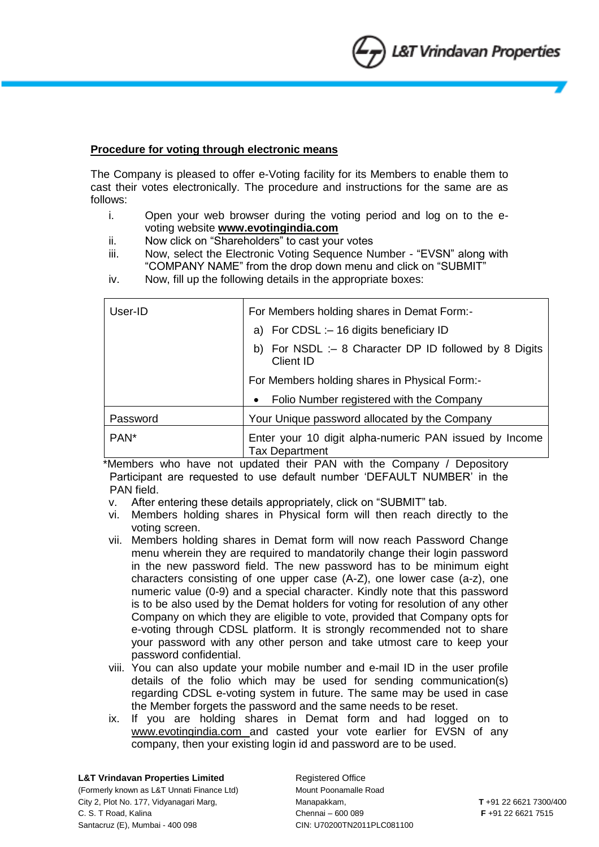## **Procedure for voting through electronic means**

The Company is pleased to offer e-Voting facility for its Members to enable them to cast their votes electronically. The procedure and instructions for the same are as follows:

- i. Open your web browser during the voting period and log on to the evoting website **www.evotingindia.com**
- ii. Now click on "Shareholders" to cast your votes
- iii. Now, select the Electronic Voting Sequence Number "EVSN" along with "COMPANY NAME" from the drop down menu and click on "SUBMIT"
- iv. Now, fill up the following details in the appropriate boxes:

| User-ID          | For Members holding shares in Demat Form:-                                      |
|------------------|---------------------------------------------------------------------------------|
|                  | a) For CDSL :- 16 digits beneficiary ID                                         |
|                  | b) For NSDL :- 8 Character DP ID followed by 8 Digits<br>Client ID              |
|                  | For Members holding shares in Physical Form:-                                   |
|                  | Folio Number registered with the Company<br>$\bullet$                           |
| Password         | Your Unique password allocated by the Company                                   |
| PAN <sup>*</sup> | Enter your 10 digit alpha-numeric PAN issued by Income<br><b>Tax Department</b> |

 \*Members who have not updated their PAN with the Company / Depository Participant are requested to use default number 'DEFAULT NUMBER' in the PAN field.

- v. After entering these details appropriately, click on "SUBMIT" tab.
- vi. Members holding shares in Physical form will then reach directly to the voting screen.
- vii. Members holding shares in Demat form will now reach Password Change menu wherein they are required to mandatorily change their login password in the new password field. The new password has to be minimum eight characters consisting of one upper case (A-Z), one lower case (a-z), one numeric value (0-9) and a special character. Kindly note that this password is to be also used by the Demat holders for voting for resolution of any other Company on which they are eligible to vote, provided that Company opts for e-voting through CDSL platform. It is strongly recommended not to share your password with any other person and take utmost care to keep your password confidential.
- viii. You can also update your mobile number and e-mail ID in the user profile details of the folio which may be used for sending communication(s) regarding CDSL e-voting system in future. The same may be used in case the Member forgets the password and the same needs to be reset.
- ix. If you are holding shares in Demat form and had logged on to www.evotingindia.com and casted your vote earlier for EVSN of any company, then your existing login id and password are to be used.

**L&T Vrindavan Properties Limited Manual Registered Office** (Formerly known as L&T Unnati Finance Ltd) Mount Poonamalle Road City 2, Plot No. 177, Vidyanagari Marg, Manapakkam, **T** +91 22 6621 7300/400 C. S. T Road, Kalina Chennai – 600 089 **F** +91 22 6621 7515 Santacruz (E), Mumbai - 400 098 CIN: U70200TN2011PLC081100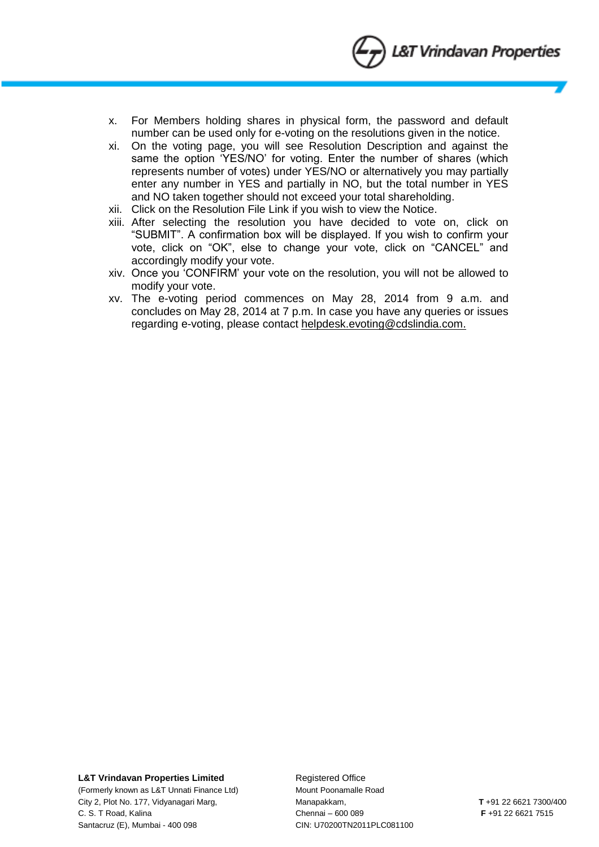

- x. For Members holding shares in physical form, the password and default number can be used only for e-voting on the resolutions given in the notice.
- xi. On the voting page, you will see Resolution Description and against the same the option 'YES/NO' for voting. Enter the number of shares (which represents number of votes) under YES/NO or alternatively you may partially enter any number in YES and partially in NO, but the total number in YES and NO taken together should not exceed your total shareholding.
- xii. Click on the Resolution File Link if you wish to view the Notice.
- xiii. After selecting the resolution you have decided to vote on, click on "SUBMIT". A confirmation box will be displayed. If you wish to confirm your vote, click on "OK", else to change your vote, click on "CANCEL" and accordingly modify your vote.
- xiv. Once you 'CONFIRM' your vote on the resolution, you will not be allowed to modify your vote.
- xv. The e-voting period commences on May 28, 2014 from 9 a.m. and concludes on May 28, 2014 at 7 p.m. In case you have any queries or issues regarding e-voting, please contact helpdesk.evoting@cdslindia.com.

#### **L&T Vrindavan Properties Limited Figure 2018** Registered Office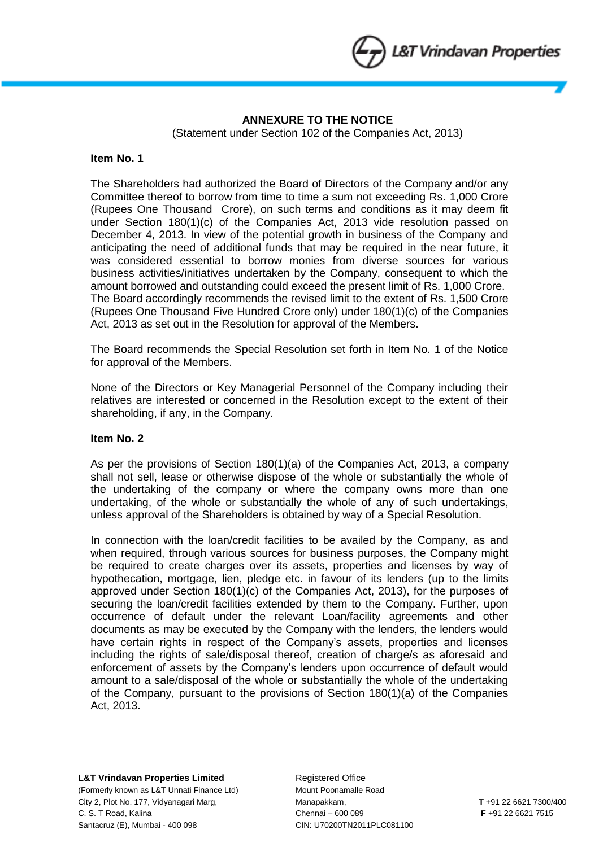

# **ANNEXURE TO THE NOTICE**

(Statement under Section 102 of the Companies Act, 2013)

## **Item No. 1**

The Shareholders had authorized the Board of Directors of the Company and/or any Committee thereof to borrow from time to time a sum not exceeding Rs. 1,000 Crore (Rupees One Thousand Crore), on such terms and conditions as it may deem fit under Section 180(1)(c) of the Companies Act, 2013 vide resolution passed on December 4, 2013. In view of the potential growth in business of the Company and anticipating the need of additional funds that may be required in the near future, it was considered essential to borrow monies from diverse sources for various business activities/initiatives undertaken by the Company, consequent to which the amount borrowed and outstanding could exceed the present limit of Rs. 1,000 Crore. The Board accordingly recommends the revised limit to the extent of Rs. 1,500 Crore (Rupees One Thousand Five Hundred Crore only) under 180(1)(c) of the Companies Act, 2013 as set out in the Resolution for approval of the Members.

The Board recommends the Special Resolution set forth in Item No. 1 of the Notice for approval of the Members.

None of the Directors or Key Managerial Personnel of the Company including their relatives are interested or concerned in the Resolution except to the extent of their shareholding, if any, in the Company.

## **Item No. 2**

As per the provisions of Section 180(1)(a) of the Companies Act, 2013, a company shall not sell, lease or otherwise dispose of the whole or substantially the whole of the undertaking of the company or where the company owns more than one undertaking, of the whole or substantially the whole of any of such undertakings, unless approval of the Shareholders is obtained by way of a Special Resolution.

In connection with the loan/credit facilities to be availed by the Company, as and when required, through various sources for business purposes, the Company might be required to create charges over its assets, properties and licenses by way of hypothecation, mortgage, lien, pledge etc. in favour of its lenders (up to the limits approved under Section 180(1)(c) of the Companies Act, 2013), for the purposes of securing the loan/credit facilities extended by them to the Company. Further, upon occurrence of default under the relevant Loan/facility agreements and other documents as may be executed by the Company with the lenders, the lenders would have certain rights in respect of the Company's assets, properties and licenses including the rights of sale/disposal thereof, creation of charge/s as aforesaid and enforcement of assets by the Company's lenders upon occurrence of default would amount to a sale/disposal of the whole or substantially the whole of the undertaking of the Company, pursuant to the provisions of Section 180(1)(a) of the Companies Act, 2013.

**L&T Vrindavan Properties Limited Figure 2018** Registered Office